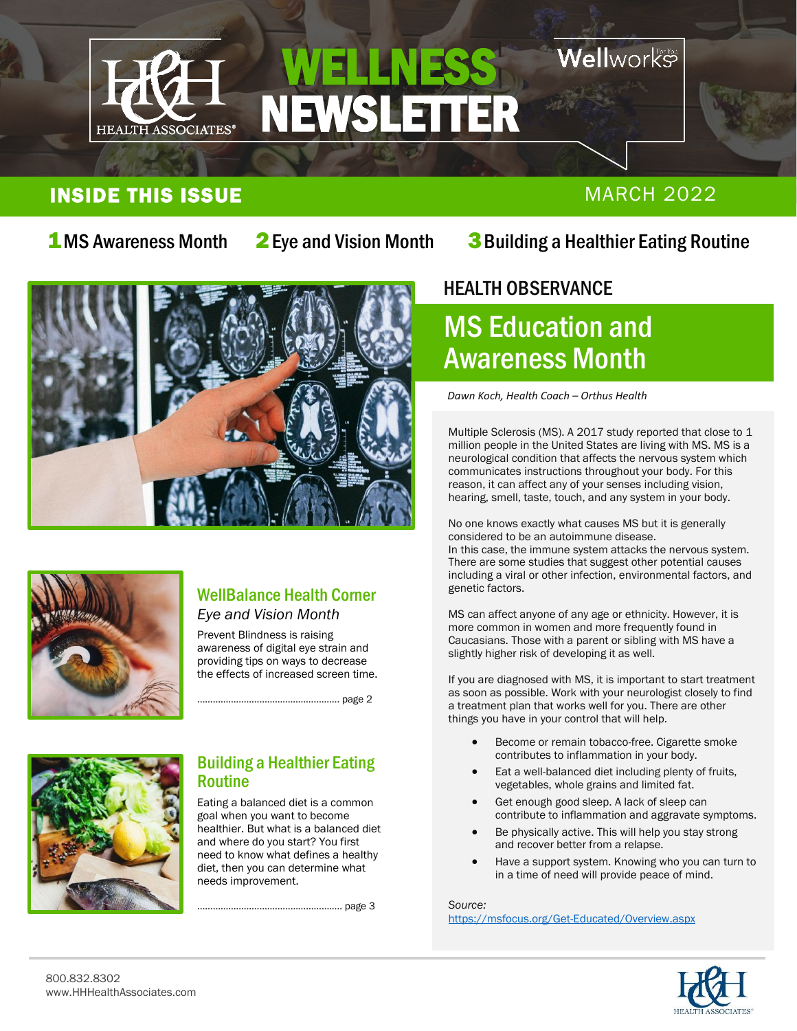

### **Well**works

### **INSIDE THIS ISSUE MARCH 2022**

2Eye and Vision Month

I

### **1**MS Awareness Month 2 Eye and Vision Month 3 Building a Healthier Eating Routine





### WellBalance Health Corner *Eye and Vision Month*

Prevent Blindness is raising awareness of digital eye strain and providing tips on ways to decrease the effects of increased screen time.

.............. page 2



### Building a Healthier Eating Routine

Eating a balanced diet is a common goal when you want to become healthier. But what is a balanced diet and where do you start? You first need to know what defines a healthy diet, then you can determine what needs improvement.

……………………………………………….. page 3

### HEALTH OBSERVANCE  $\overline{\phantom{a}}$

### MS Education and Awareness Month

*Dawn Koch, Health Coach – Orthus Health*

Multiple Sclerosis (MS). A 2017 study reported that close to 1 million people in the United States are living with MS. MS is a neurological condition that affects the nervous system which communicates instructions throughout your body. For this reason, it can affect any of your senses including vision, hearing, smell, taste, touch, and any system in your body.

No one knows exactly what causes MS but it is generally considered to be an autoimmune disease. In this case, the immune system attacks the nervous system. There are some studies that suggest other potential causes including a viral or other infection, environmental factors, and genetic factors.

MS can affect anyone of any age or ethnicity. However, it is more common in women and more frequently found in Caucasians. Those with a parent or sibling with MS have a slightly higher risk of developing it as well.

If you are diagnosed with MS, it is important to start treatment as soon as possible. Work with your neurologist closely to find a treatment plan that works well for you. There are other things you have in your control that will help.

- Become or remain tobacco-free. Cigarette smoke contributes to inflammation in your body.
- Eat a well-balanced diet including plenty of fruits, vegetables, whole grains and limited fat.
- Get enough good sleep. A lack of sleep can contribute to inflammation and aggravate symptoms.
- Be physically active. This will help you stay strong and recover better from a relapse.
- Have a support system. Knowing who you can turn to in a time of need will provide peace of mind.

*Source:* <https://msfocus.org/Get-Educated/Overview.aspx>

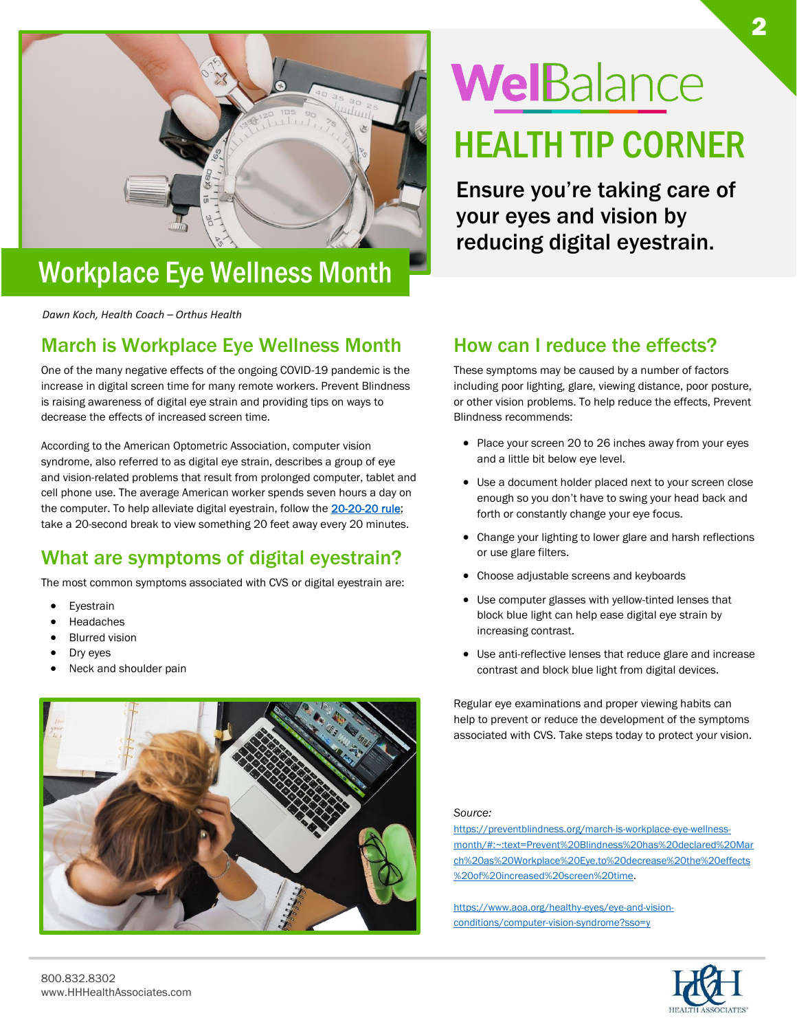

### Workplace Eye Wellness Month

*Dawn Koch, Health Coach – Orthus Health*

### March is Workplace Eye Wellness Month

One of the many negative effects of the ongoing COVID-19 pandemic is the increase in digital screen time for many remote workers. Prevent Blindness is raising awareness of digital eye strain and providing tips on ways to decrease the effects of increased screen time.

According to the American Optometric Association, computer vision syndrome, also referred to as digital eye strain, describes a group of eye and vision-related problems that result from prolonged computer, tablet and cell phone use. The average American worker spends seven hours a day on the computer. To help alleviate digital eyestrain, follow the [20-20-20 rule;](https://www.aoa.org/AOA/Images/Patients/Eye%20Conditions/20-20-20-rule.pdf) take a 20-second break to view something 20 feet away every 20 minutes.

### What are symptoms of digital eyestrain?

The most common symptoms associated with CVS or digital eyestrain are:

- **Eyestrain**
- **Headaches**
- **Blurred vision**
- Dry eyes
- Neck and shoulder pain



# WelBalance

HEALTH TIP CORNER

Ensure you're taking care of your eyes and vision by reducing digital eyestrain.

### How can I reduce the effects?

These symptoms may be caused by a number of factors including poor lighting, glare, viewing distance, poor posture, or other vision problems. To help reduce the effects, Prevent Blindness recommends:

- Place your screen 20 to 26 inches away from your eyes and a little bit below eye level.
- Use a document holder placed next to your screen close enough so you don't have to swing your head back and forth or constantly change your eye focus.
- Change your lighting to lower glare and harsh reflections or use glare filters.
- Choose adjustable screens and keyboards
- Use computer glasses with yellow-tinted lenses that block blue light can help ease digital eye strain by increasing contrast.
- Use anti-reflective lenses that reduce glare and increase contrast and block blue light from digital devices.

Regular eye examinations and proper viewing habits can help to prevent or reduce the development of the symptoms associated with CVS. Take steps today to protect your vision.

*Source:*

[https://preventblindness.org/march-is-workplace-eye-wellness](https://preventblindness.org/march-is-workplace-eye-wellness-month/#:~:text=Prevent%20Blindness%20has%20declared%20March%20as%20Workplace%20Eye,to%20decrease%20the%20effects%20of%20increased%20screen%20time)[month/#:~:text=Prevent%20Blindness%20has%20declared%20Mar](https://preventblindness.org/march-is-workplace-eye-wellness-month/#:~:text=Prevent%20Blindness%20has%20declared%20March%20as%20Workplace%20Eye,to%20decrease%20the%20effects%20of%20increased%20screen%20time) [ch%20as%20Workplace%20Eye,to%20decrease%20the%20effects](https://preventblindness.org/march-is-workplace-eye-wellness-month/#:~:text=Prevent%20Blindness%20has%20declared%20March%20as%20Workplace%20Eye,to%20decrease%20the%20effects%20of%20increased%20screen%20time) [%20of%20increased%20screen%20time.](https://preventblindness.org/march-is-workplace-eye-wellness-month/#:~:text=Prevent%20Blindness%20has%20declared%20March%20as%20Workplace%20Eye,to%20decrease%20the%20effects%20of%20increased%20screen%20time)

[https://www.aoa.org/healthy-eyes/eye-and-vision](https://www.aoa.org/healthy-eyes/eye-and-vision-conditions/computer-vision-syndrome?sso=y)[conditions/computer-vision-syndrome?sso=y](https://www.aoa.org/healthy-eyes/eye-and-vision-conditions/computer-vision-syndrome?sso=y)

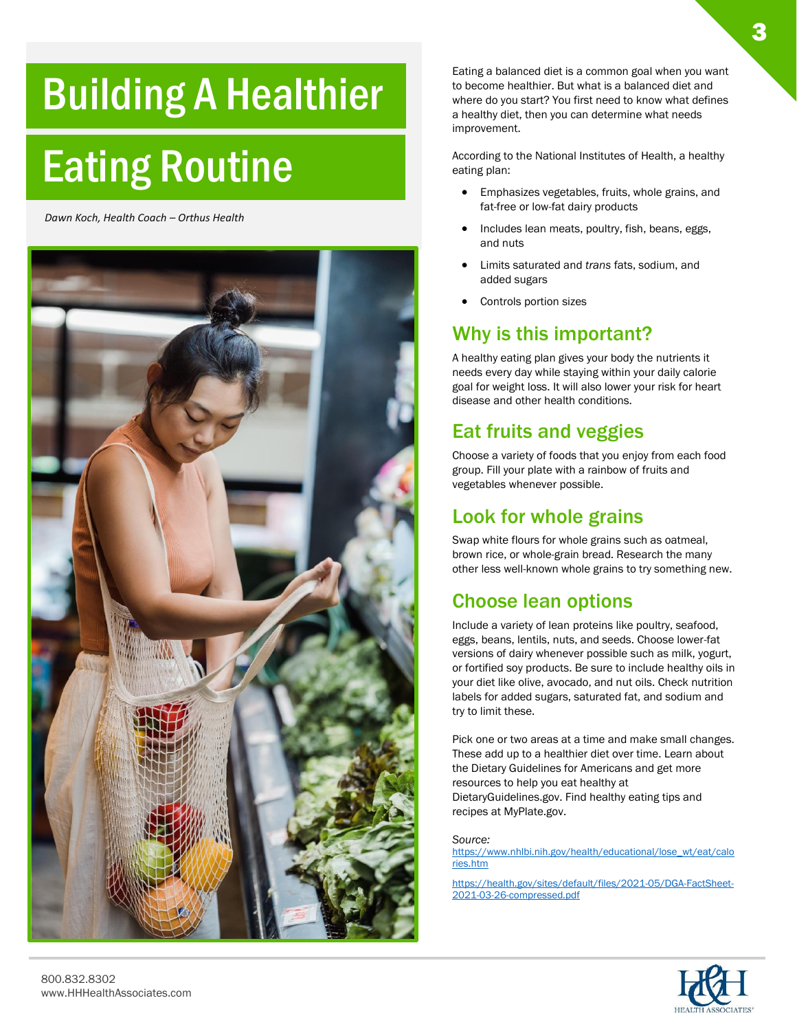## Building A Healthier

## Eating Routine

*Dawn Koch, Health Coach – Orthus Health*



Eating a balanced diet is a common goal when you want to become healthier. But what is a balanced diet and where do you start? You first need to know what defines a healthy diet, then you can determine what needs improvement.

According to the National Institutes of Health, a healthy eating plan:

- Emphasizes vegetables, fruits, whole grains, and fat-free or low-fat dairy products
- Includes lean meats, poultry, fish, beans, eggs, and nuts
- Limits saturated and *trans* fats, sodium, and added sugars
- Controls portion sizes

### Why is this important?

A healthy eating plan gives your body the nutrients it needs every day while staying within your daily calorie goal for weight loss. It will also lower your risk for heart disease and other health conditions.

### Eat fruits and veggies

Choose a variety of foods that you enjoy from each food group. Fill your plate with a rainbow of fruits and vegetables whenever possible.

### Look for whole grains

Swap white flours for whole grains such as oatmeal, brown rice, or whole-grain bread. Research the many other less well-known whole grains to try something new.

### Choose lean options

Include a variety of lean proteins like poultry, seafood, eggs, beans, lentils, nuts, and seeds. Choose lower-fat versions of dairy whenever possible such as milk, yogurt, or fortified soy products. Be sure to include healthy oils in your diet like olive, avocado, and nut oils. Check nutrition labels for added sugars, saturated fat, and sodium and try to limit these.

Pick one or two areas at a time and make small changes. These add up to a healthier diet over time. Learn about the Dietary Guidelines for Americans and get more resources to help you eat healthy at DietaryGuidelines.gov. Find healthy eating tips and recipes at MyPlate.gov.

*Source:*

[https://www.nhlbi.nih.gov/health/educational/lose\\_wt/eat/calo](https://www.nhlbi.nih.gov/health/educational/lose_wt/eat/calories.htm) [ries.htm](https://www.nhlbi.nih.gov/health/educational/lose_wt/eat/calories.htm)

[https://health.gov/sites/default/files/2021-05/DGA-FactSheet-](https://health.gov/sites/default/files/2021-05/DGA-FactSheet-2021-03-26-compressed.pdf)[2021-03-26-compressed.pdf](https://health.gov/sites/default/files/2021-05/DGA-FactSheet-2021-03-26-compressed.pdf)